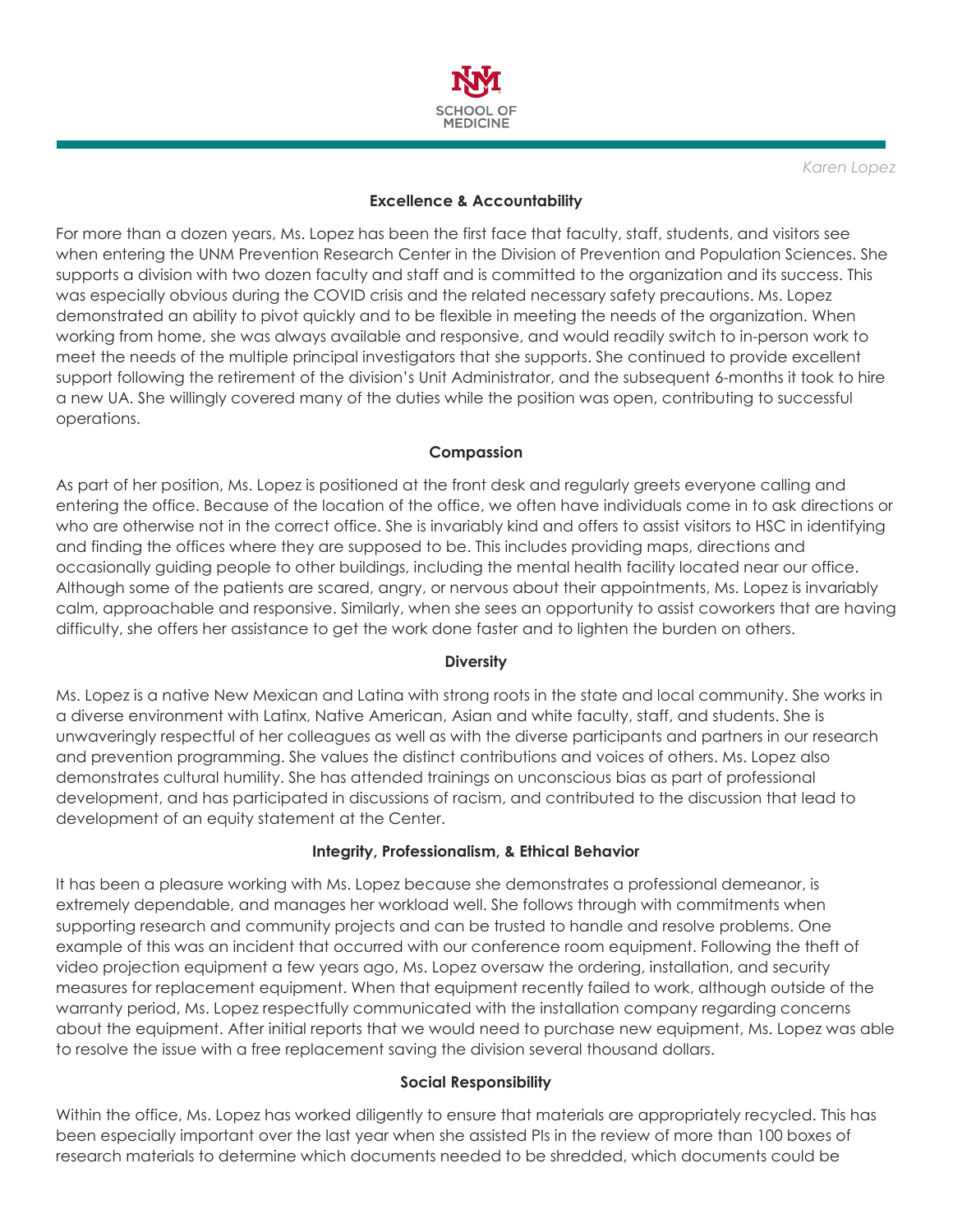

*Karen Lopez*

### **Excellence & Accountability**

For more than a dozen years, Ms. Lopez has been the first face that faculty, staff, students, and visitors see when entering the UNM Prevention Research Center in the Division of Prevention and Population Sciences. She supports a division with two dozen faculty and staff and is committed to the organization and its success. This was especially obvious during the COVID crisis and the related necessary safety precautions. Ms. Lopez demonstrated an ability to pivot quickly and to be flexible in meeting the needs of the organization. When working from home, she was always available and responsive, and would readily switch to in-person work to meet the needs of the multiple principal investigators that she supports. She continued to provide excellent support following the retirement of the division's Unit Administrator, and the subsequent 6-months it took to hire a new UA. She willingly covered many of the duties while the position was open, contributing to successful operations.

### **Compassion**

As part of her position, Ms. Lopez is positioned at the front desk and regularly greets everyone calling and entering the office. Because of the location of the office, we often have individuals come in to ask directions or who are otherwise not in the correct office. She is invariably kind and offers to assist visitors to HSC in identifying and finding the offices where they are supposed to be. This includes providing maps, directions and occasionally guiding people to other buildings, including the mental health facility located near our office. Although some of the patients are scared, angry, or nervous about their appointments, Ms. Lopez is invariably calm, approachable and responsive. Similarly, when she sees an opportunity to assist coworkers that are having difficulty, she offers her assistance to get the work done faster and to lighten the burden on others.

### **Diversity**

Ms. Lopez is a native New Mexican and Latina with strong roots in the state and local community. She works in a diverse environment with Latinx, Native American, Asian and white faculty, staff, and students. She is unwaveringly respectful of her colleagues as well as with the diverse participants and partners in our research and prevention programming. She values the distinct contributions and voices of others. Ms. Lopez also demonstrates cultural humility. She has attended trainings on unconscious bias as part of professional development, and has participated in discussions of racism, and contributed to the discussion that lead to development of an equity statement at the Center.

# **Integrity, Professionalism, & Ethical Behavior**

It has been a pleasure working with Ms. Lopez because she demonstrates a professional demeanor, is extremely dependable, and manages her workload well. She follows through with commitments when supporting research and community projects and can be trusted to handle and resolve problems. One example of this was an incident that occurred with our conference room equipment. Following the theft of video projection equipment a few years ago, Ms. Lopez oversaw the ordering, installation, and security measures for replacement equipment. When that equipment recently failed to work, although outside of the warranty period, Ms. Lopez respectfully communicated with the installation company regarding concerns about the equipment. After initial reports that we would need to purchase new equipment, Ms. Lopez was able to resolve the issue with a free replacement saving the division several thousand dollars.

### **Social Responsibility**

Within the office, Ms. Lopez has worked diligently to ensure that materials are appropriately recycled. This has been especially important over the last year when she assisted PIs in the review of more than 100 boxes of research materials to determine which documents needed to be shredded, which documents could be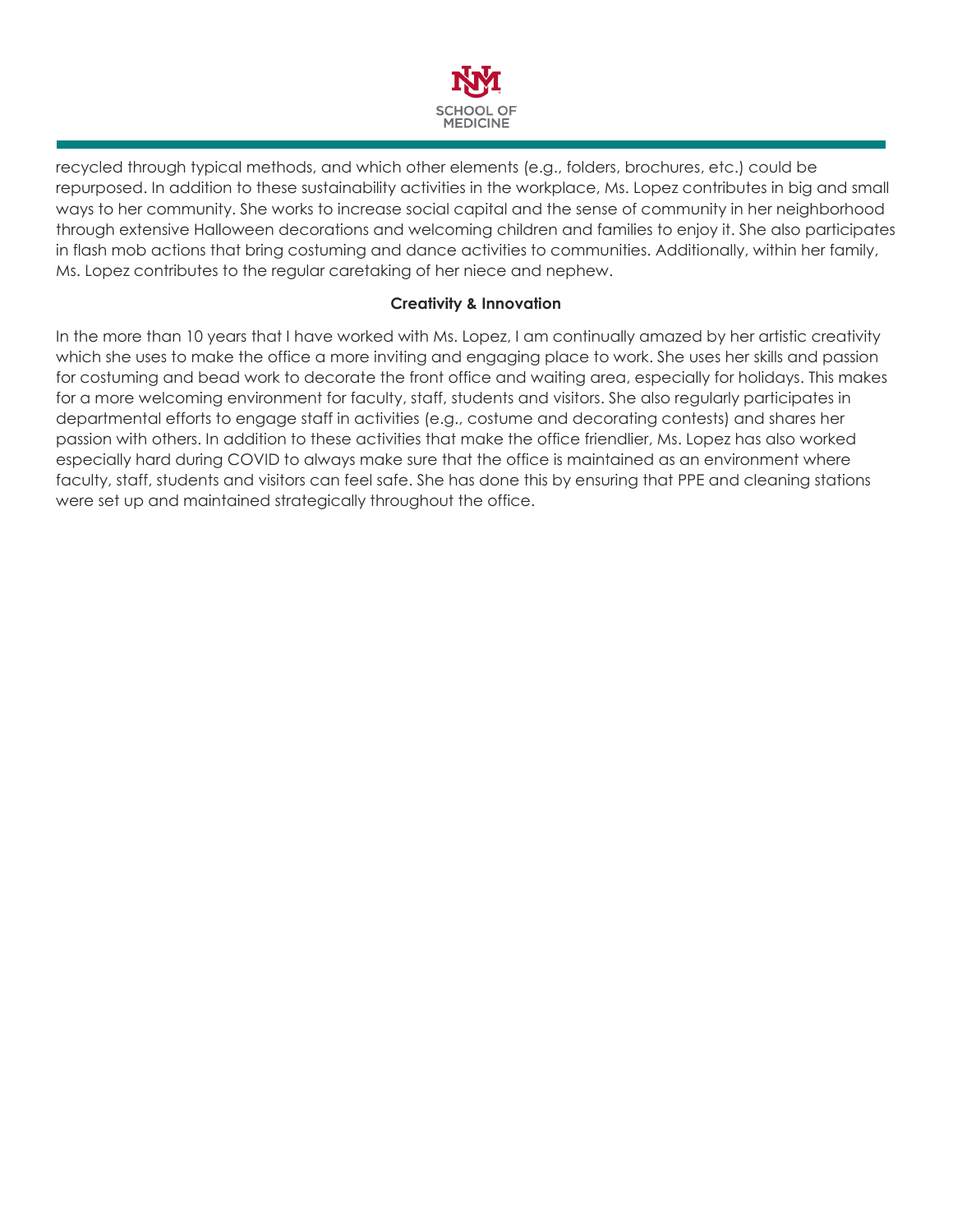

recycled through typical methods, and which other elements (e.g., folders, brochures, etc.) could be repurposed. In addition to these sustainability activities in the workplace, Ms. Lopez contributes in big and small ways to her community. She works to increase social capital and the sense of community in her neighborhood through extensive Halloween decorations and welcoming children and families to enjoy it. She also participates in flash mob actions that bring costuming and dance activities to communities. Additionally, within her family, Ms. Lopez contributes to the regular caretaking of her niece and nephew.

### **Creativity & Innovation**

In the more than 10 years that I have worked with Ms. Lopez, I am continually amazed by her artistic creativity which she uses to make the office a more inviting and engaging place to work. She uses her skills and passion for costuming and bead work to decorate the front office and waiting area, especially for holidays. This makes for a more welcoming environment for faculty, staff, students and visitors. She also regularly participates in departmental efforts to engage staff in activities (e.g., costume and decorating contests) and shares her passion with others. In addition to these activities that make the office friendlier, Ms. Lopez has also worked especially hard during COVID to always make sure that the office is maintained as an environment where faculty, staff, students and visitors can feel safe. She has done this by ensuring that PPE and cleaning stations were set up and maintained strategically throughout the office.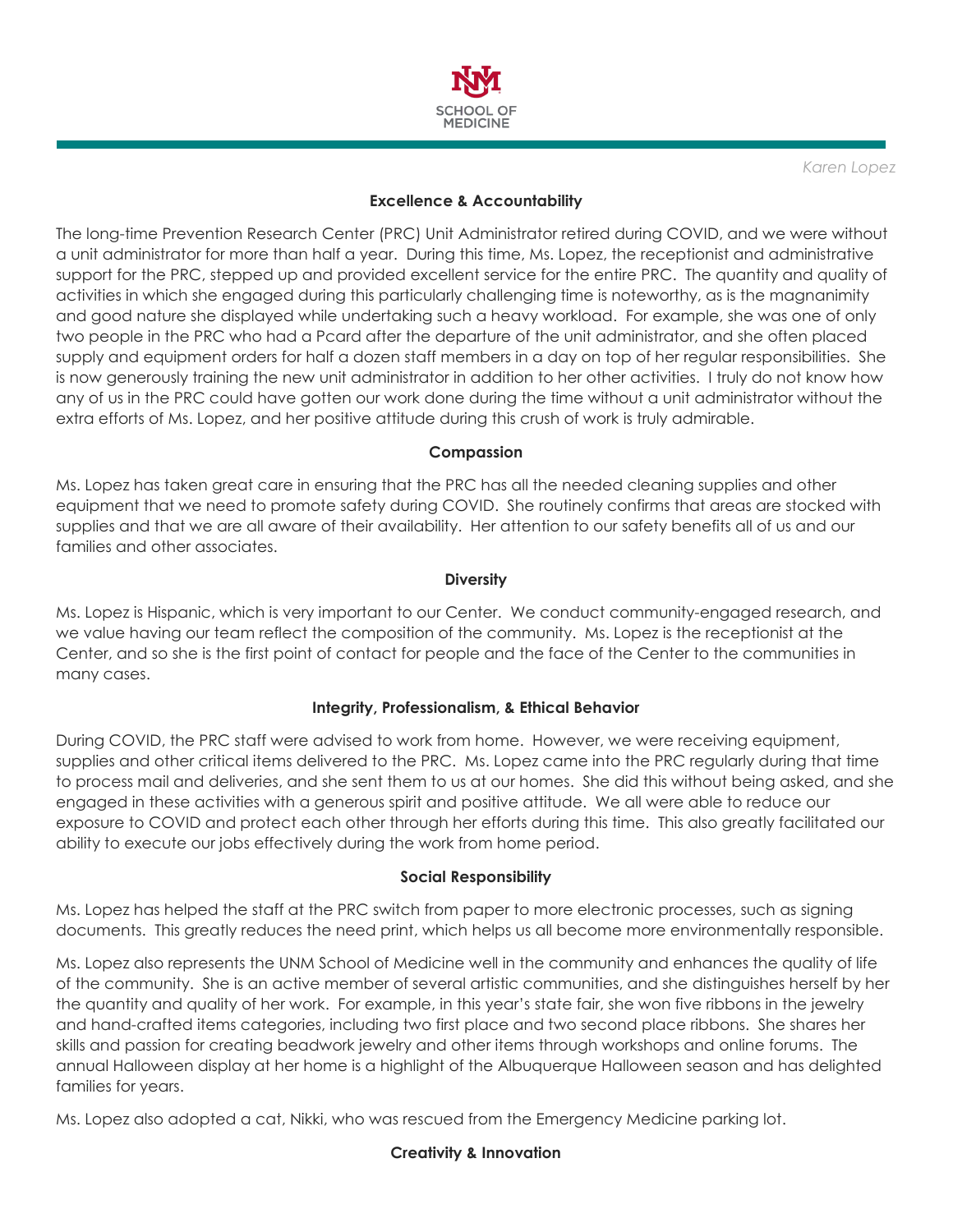

*Karen Lopez*

### **Excellence & Accountability**

The long-time Prevention Research Center (PRC) Unit Administrator retired during COVID, and we were without a unit administrator for more than half a year. During this time, Ms. Lopez, the receptionist and administrative support for the PRC, stepped up and provided excellent service for the entire PRC. The quantity and quality of activities in which she engaged during this particularly challenging time is noteworthy, as is the magnanimity and good nature she displayed while undertaking such a heavy workload. For example, she was one of only two people in the PRC who had a Pcard after the departure of the unit administrator, and she often placed supply and equipment orders for half a dozen staff members in a day on top of her regular responsibilities. She is now generously training the new unit administrator in addition to her other activities. I truly do not know how any of us in the PRC could have gotten our work done during the time without a unit administrator without the extra efforts of Ms. Lopez, and her positive attitude during this crush of work is truly admirable.

### **Compassion**

Ms. Lopez has taken great care in ensuring that the PRC has all the needed cleaning supplies and other equipment that we need to promote safety during COVID. She routinely confirms that areas are stocked with supplies and that we are all aware of their availability. Her attention to our safety benefits all of us and our families and other associates.

### **Diversity**

Ms. Lopez is Hispanic, which is very important to our Center. We conduct community-engaged research, and we value having our team reflect the composition of the community. Ms. Lopez is the receptionist at the Center, and so she is the first point of contact for people and the face of the Center to the communities in many cases.

# **Integrity, Professionalism, & Ethical Behavior**

During COVID, the PRC staff were advised to work from home. However, we were receiving equipment, supplies and other critical items delivered to the PRC. Ms. Lopez came into the PRC regularly during that time to process mail and deliveries, and she sent them to us at our homes. She did this without being asked, and she engaged in these activities with a generous spirit and positive attitude. We all were able to reduce our exposure to COVID and protect each other through her efforts during this time. This also greatly facilitated our ability to execute our jobs effectively during the work from home period.

### **Social Responsibility**

Ms. Lopez has helped the staff at the PRC switch from paper to more electronic processes, such as signing documents. This greatly reduces the need print, which helps us all become more environmentally responsible.

Ms. Lopez also represents the UNM School of Medicine well in the community and enhances the quality of life of the community. She is an active member of several artistic communities, and she distinguishes herself by her the quantity and quality of her work. For example, in this year's state fair, she won five ribbons in the jewelry and hand-crafted items categories, including two first place and two second place ribbons. She shares her skills and passion for creating beadwork jewelry and other items through workshops and online forums. The annual Halloween display at her home is a highlight of the Albuquerque Halloween season and has delighted families for years.

Ms. Lopez also adopted a cat, Nikki, who was rescued from the Emergency Medicine parking lot.

### **Creativity & Innovation**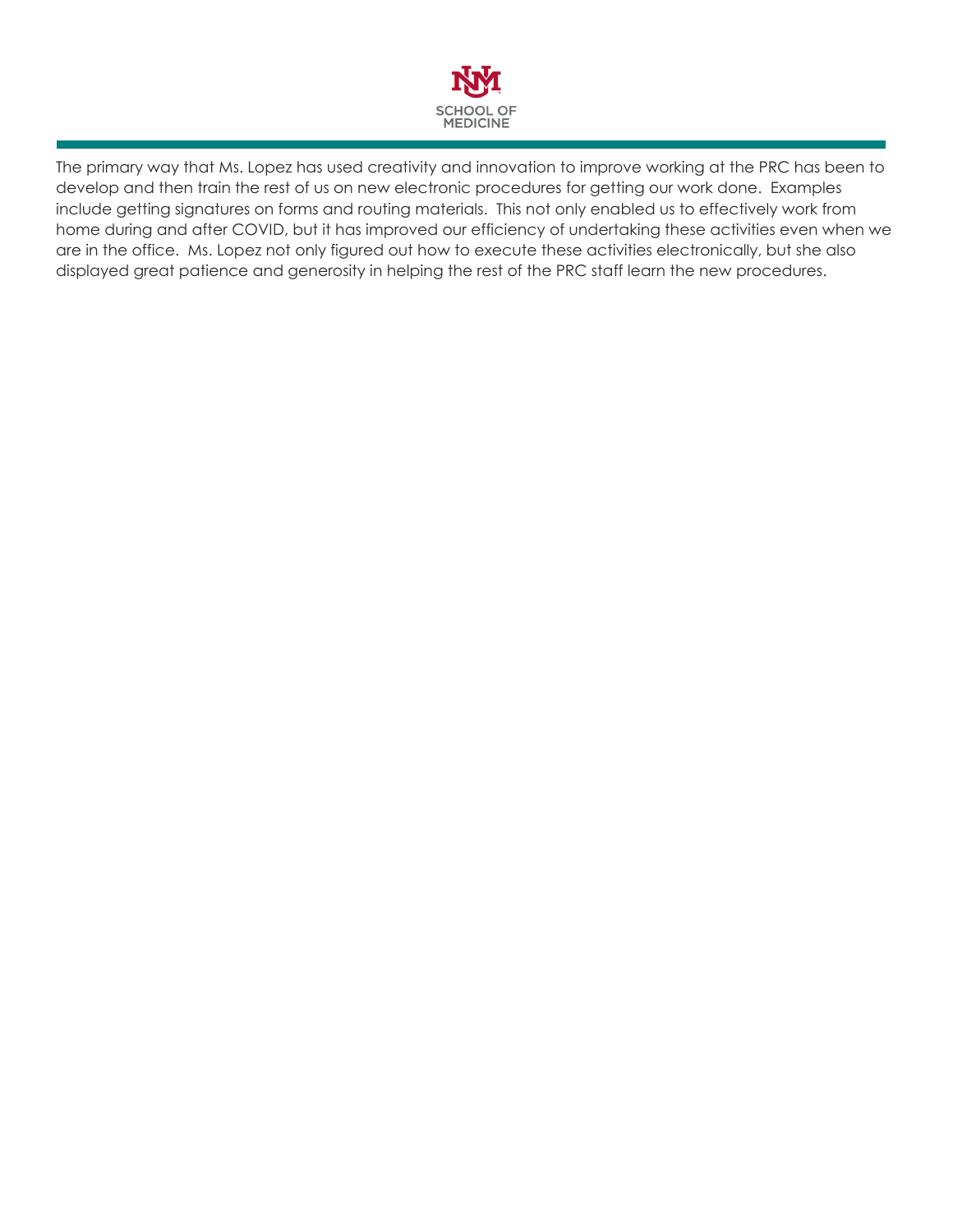

The primary way that Ms. Lopez has used creativity and innovation to improve working at the PRC has been to develop and then train the rest of us on new electronic procedures for getting our work done. Examples include getting signatures on forms and routing materials. This not only enabled us to effectively work from home during and after COVID, but it has improved our efficiency of undertaking these activities even when we are in the office. Ms. Lopez not only figured out how to execute these activities electronically, but she also displayed great patience and generosity in helping the rest of the PRC staff learn the new procedures.